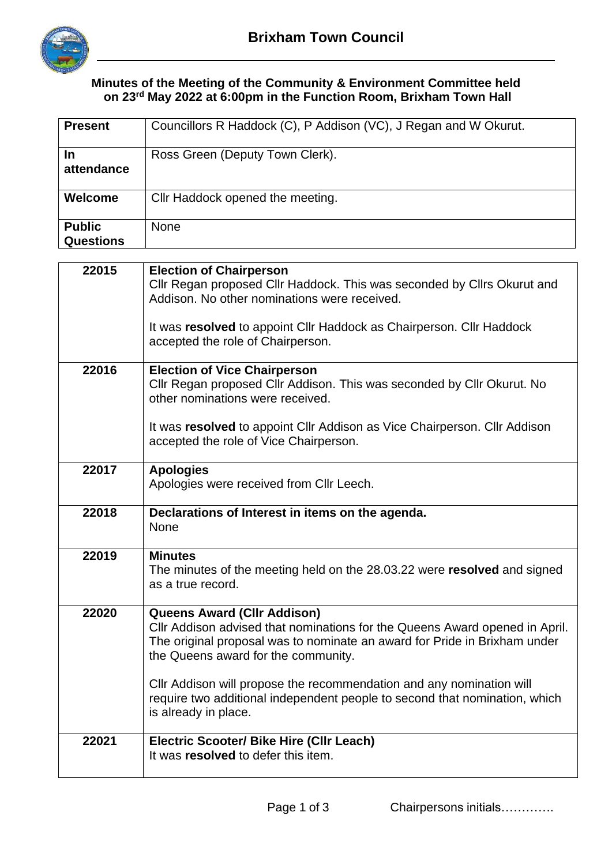

## **Minutes of the Meeting of the Community & Environment Committee held on 23rd May 2022 at 6:00pm in the Function Room, Brixham Town Hall**

| <b>Present</b>                    | Councillors R Haddock (C), P Addison (VC), J Regan and W Okurut.                                                                                                                                                                      |  |  |
|-----------------------------------|---------------------------------------------------------------------------------------------------------------------------------------------------------------------------------------------------------------------------------------|--|--|
| In<br>attendance                  | Ross Green (Deputy Town Clerk).                                                                                                                                                                                                       |  |  |
| Welcome                           | Cllr Haddock opened the meeting.                                                                                                                                                                                                      |  |  |
| <b>Public</b><br><b>Questions</b> | <b>None</b>                                                                                                                                                                                                                           |  |  |
|                                   |                                                                                                                                                                                                                                       |  |  |
| 22015                             | <b>Election of Chairperson</b><br>Cllr Regan proposed Cllr Haddock. This was seconded by Cllrs Okurut and<br>Addison. No other nominations were received.                                                                             |  |  |
|                                   | It was resolved to appoint Cllr Haddock as Chairperson. Cllr Haddock<br>accepted the role of Chairperson.                                                                                                                             |  |  |
| 22016                             | <b>Election of Vice Chairperson</b><br>Cllr Regan proposed Cllr Addison. This was seconded by Cllr Okurut. No<br>other nominations were received.<br>It was resolved to appoint Cllr Addison as Vice Chairperson. Cllr Addison        |  |  |
|                                   | accepted the role of Vice Chairperson.                                                                                                                                                                                                |  |  |
| 22017                             | <b>Apologies</b><br>Apologies were received from Cllr Leech.                                                                                                                                                                          |  |  |
| 22018                             | Declarations of Interest in items on the agenda.<br><b>None</b>                                                                                                                                                                       |  |  |
| 22019                             | <b>Minutes</b><br>The minutes of the meeting held on the 28.03.22 were resolved and signed<br>as a true record.                                                                                                                       |  |  |
| 22020                             | <b>Queens Award (CIIr Addison)</b><br>CIIr Addison advised that nominations for the Queens Award opened in April.<br>The original proposal was to nominate an award for Pride in Brixham under<br>the Queens award for the community. |  |  |
|                                   | CIIr Addison will propose the recommendation and any nomination will<br>require two additional independent people to second that nomination, which<br>is already in place.                                                            |  |  |
| 22021                             | Electric Scooter/ Bike Hire (CIIr Leach)<br>It was resolved to defer this item.                                                                                                                                                       |  |  |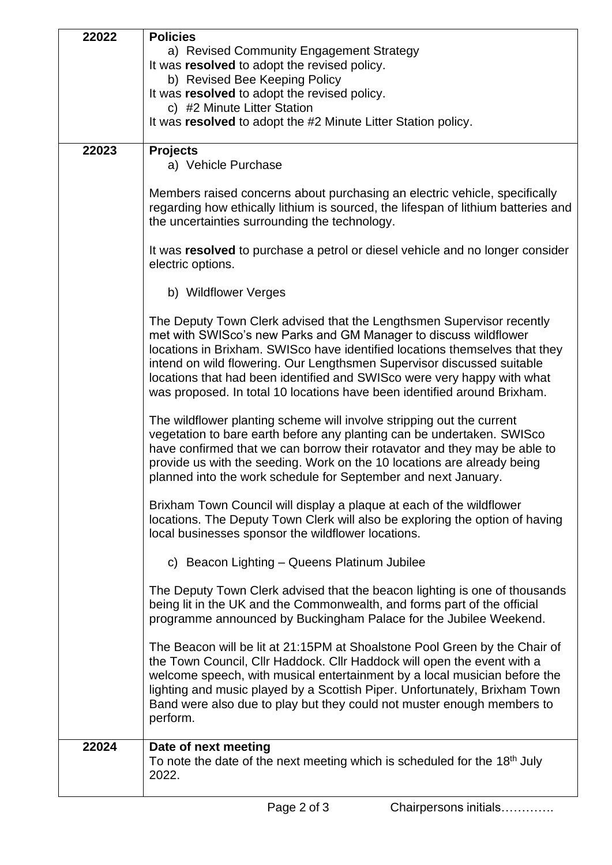| 22022 | <b>Policies</b>                                                                                                                                                                                                                                                                                                                                                                                                                                           |  |  |  |
|-------|-----------------------------------------------------------------------------------------------------------------------------------------------------------------------------------------------------------------------------------------------------------------------------------------------------------------------------------------------------------------------------------------------------------------------------------------------------------|--|--|--|
|       | a) Revised Community Engagement Strategy                                                                                                                                                                                                                                                                                                                                                                                                                  |  |  |  |
|       | It was resolved to adopt the revised policy.                                                                                                                                                                                                                                                                                                                                                                                                              |  |  |  |
|       | b) Revised Bee Keeping Policy                                                                                                                                                                                                                                                                                                                                                                                                                             |  |  |  |
|       | It was resolved to adopt the revised policy.                                                                                                                                                                                                                                                                                                                                                                                                              |  |  |  |
|       | c) #2 Minute Litter Station                                                                                                                                                                                                                                                                                                                                                                                                                               |  |  |  |
|       | It was resolved to adopt the #2 Minute Litter Station policy.                                                                                                                                                                                                                                                                                                                                                                                             |  |  |  |
|       |                                                                                                                                                                                                                                                                                                                                                                                                                                                           |  |  |  |
| 22023 | <b>Projects</b><br>a) Vehicle Purchase                                                                                                                                                                                                                                                                                                                                                                                                                    |  |  |  |
|       | Members raised concerns about purchasing an electric vehicle, specifically<br>regarding how ethically lithium is sourced, the lifespan of lithium batteries and<br>the uncertainties surrounding the technology.                                                                                                                                                                                                                                          |  |  |  |
|       | It was resolved to purchase a petrol or diesel vehicle and no longer consider<br>electric options.                                                                                                                                                                                                                                                                                                                                                        |  |  |  |
|       | b) Wildflower Verges                                                                                                                                                                                                                                                                                                                                                                                                                                      |  |  |  |
|       | The Deputy Town Clerk advised that the Lengthsmen Supervisor recently<br>met with SWISco's new Parks and GM Manager to discuss wildflower<br>locations in Brixham. SWISco have identified locations themselves that they<br>intend on wild flowering. Our Lengthsmen Supervisor discussed suitable<br>locations that had been identified and SWISco were very happy with what<br>was proposed. In total 10 locations have been identified around Brixham. |  |  |  |
|       | The wildflower planting scheme will involve stripping out the current<br>vegetation to bare earth before any planting can be undertaken. SWISco<br>have confirmed that we can borrow their rotavator and they may be able to<br>provide us with the seeding. Work on the 10 locations are already being<br>planned into the work schedule for September and next January.                                                                                 |  |  |  |
|       | Brixham Town Council will display a plaque at each of the wildflower<br>locations. The Deputy Town Clerk will also be exploring the option of having<br>local businesses sponsor the wildflower locations.                                                                                                                                                                                                                                                |  |  |  |
|       | c) Beacon Lighting - Queens Platinum Jubilee                                                                                                                                                                                                                                                                                                                                                                                                              |  |  |  |
|       | The Deputy Town Clerk advised that the beacon lighting is one of thousands<br>being lit in the UK and the Commonwealth, and forms part of the official<br>programme announced by Buckingham Palace for the Jubilee Weekend.                                                                                                                                                                                                                               |  |  |  |
|       | The Beacon will be lit at 21:15PM at Shoalstone Pool Green by the Chair of<br>the Town Council, Cllr Haddock. Cllr Haddock will open the event with a<br>welcome speech, with musical entertainment by a local musician before the<br>lighting and music played by a Scottish Piper. Unfortunately, Brixham Town<br>Band were also due to play but they could not muster enough members to<br>perform.                                                    |  |  |  |
| 22024 | Date of next meeting<br>To note the date of the next meeting which is scheduled for the 18th July<br>2022.                                                                                                                                                                                                                                                                                                                                                |  |  |  |